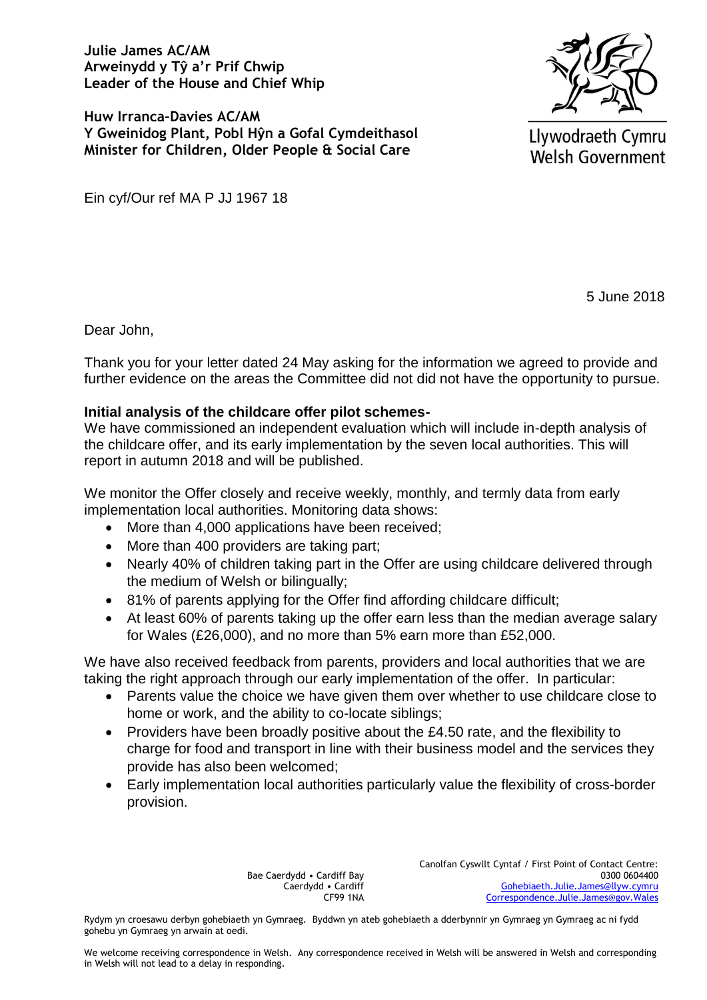**Julie James AC/AM Arweinydd y Tŷ a'r Prif Chwip Leader of the House and Chief Whip**

**Huw Irranca-Davies AC/AM Y Gweinidog Plant, Pobl Hŷn a Gofal Cymdeithasol Minister for Children, Older People & Social Care**



Llywodraeth Cymru **Welsh Government** 

Ein cyf/Our ref MA P JJ 1967 18

5 June 2018

Dear John,

Thank you for your letter dated 24 May asking for the information we agreed to provide and further evidence on the areas the Committee did not did not have the opportunity to pursue.

## **Initial analysis of the childcare offer pilot schemes-**

We have commissioned an independent evaluation which will include in-depth analysis of the childcare offer, and its early implementation by the seven local authorities. This will report in autumn 2018 and will be published.

We monitor the Offer closely and receive weekly, monthly, and termly data from early implementation local authorities. Monitoring data shows:

- More than 4,000 applications have been received;
- More than 400 providers are taking part;
- Nearly 40% of children taking part in the Offer are using childcare delivered through the medium of Welsh or bilingually;
- 81% of parents applying for the Offer find affording childcare difficult;
- At least 60% of parents taking up the offer earn less than the median average salary for Wales (£26,000), and no more than 5% earn more than £52,000.

We have also received feedback from parents, providers and local authorities that we are taking the right approach through our early implementation of the offer. In particular:

- Parents value the choice we have given them over whether to use childcare close to home or work, and the ability to co-locate siblings;
- Providers have been broadly positive about the £4.50 rate, and the flexibility to charge for food and transport in line with their business model and the services they provide has also been welcomed;
- Early implementation local authorities particularly value the flexibility of cross-border provision.

Bae Caerdydd • Cardiff Bay Caerdydd • Cardiff CF99 1NA Canolfan Cyswllt Cyntaf / First Point of Contact Centre: 0300 0604400 [Gohebiaeth.Julie.James@llyw.cymru](mailto:Gohebiaeth.Julie.James@llyw.cymru) [Correspondence.Julie.James@gov.Wales](mailto:Correspondence.Julie.James@gov.Wales)

Rydym yn croesawu derbyn gohebiaeth yn Gymraeg. Byddwn yn ateb gohebiaeth a dderbynnir yn Gymraeg yn Gymraeg ac ni fydd gohebu yn Gymraeg yn arwain at oedi.

We welcome receiving correspondence in Welsh. Any correspondence received in Welsh will be answered in Welsh and corresponding in Welsh will not lead to a delay in responding.